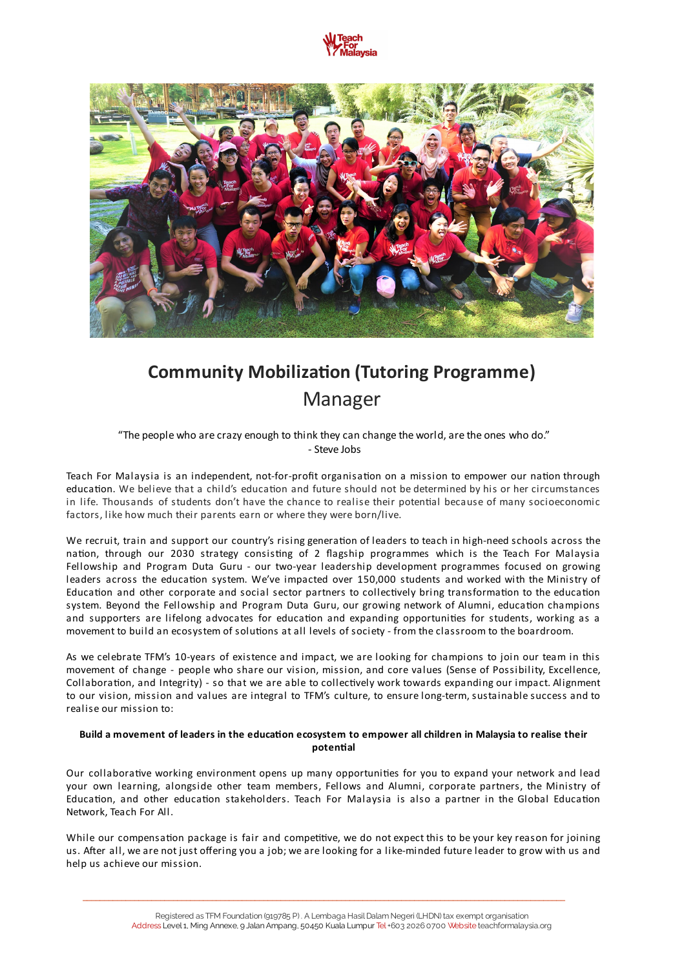



# **Community Mobilization (Tutoring Programme)** Manager

"The people who are crazy enough to think they can change the world, are the ones who do." - Steve Jobs

Teach For Malaysia is an independent, not-for-profit organisation on a mission to empower our nation through education. We believe that a child's education and future should not be determined by his or her circumstances in life. Thousands of students don't have the chance to realise their potential because of many socioeconomic factors, like how much their parents earn or where they were born/live.

We recruit, train and support our country's rising generation of leaders to teach in high-need schools across the nation, through our 2030 strategy consisting of 2 flagship programmes which is the Teach For Malaysia Fellowship and Program Duta Guru - our two-year leadership development programmes focused on growing leaders across the education system. We've impacted over 150,000 students and worked with the Ministry of Education and other corporate and social sector partners to collectively bring transformation to the education system. Beyond the Fellowship and Program Duta Guru, our growing network of Alumni, education champions and supporters are lifelong advocates for education and expanding opportunities for students, working as a movement to build an ecosystem of solutions at all levels of society - from the classroom to the boardroom.

As we celebrate TFM's 10-years of existence and impact, we are looking for champions to join our team in this movement of change - people who share our vision, mission, and core values (Sense of Possibility, Excellence, Collaboration, and Integrity) - so that we are able to collectively work towards expanding our impact. Alignment to our vision, mission and values are integral to TFM's culture, to ensure long-term, sustainable success and to realise our mission to:

# Build a movement of leaders in the education ecosystem to empower all children in Malaysia to realise their **potential**

Our collaborative working environment opens up many opportunities for you to expand your network and lead your own learning, alongside other team members, Fellows and Alumni, corporate partners, the Ministry of Education, and other education stakeholders. Teach For Malaysia is also a partner in the Global Education Network, Teach For All.

While our compensation package is fair and competitive, we do not expect this to be your key reason for joining us. After all, we are not just offering you a job; we are looking for a like-minded future leader to grow with us and help us achieve our mission.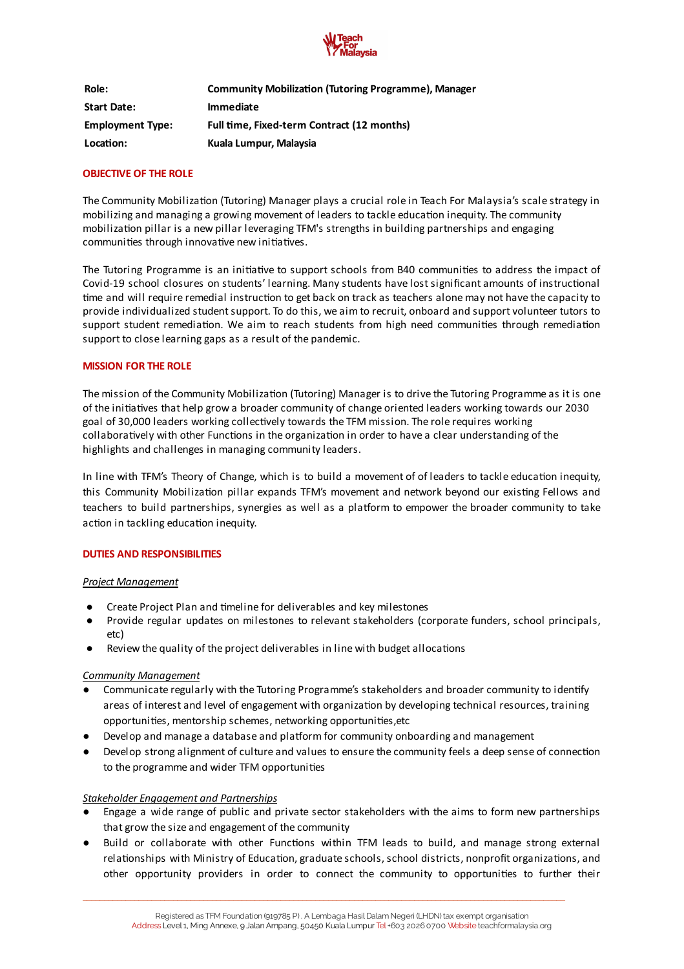

| Role:                   | <b>Community Mobilization (Tutoring Programme), Manager</b> |
|-------------------------|-------------------------------------------------------------|
| <b>Start Date:</b>      | <b>Immediate</b>                                            |
| <b>Employment Type:</b> | Full time, Fixed-term Contract (12 months)                  |
| Location:               | Kuala Lumpur, Malaysia                                      |

# **OBJECTIVE OF THE ROLE**

The Community Mobilization (Tutoring) Manager plays a crucial role in Teach For Malaysia's scale strategy in mobilizing and managing a growing movement of leaders to tackle education inequity. The community mobilization pillar is a new pillar leveraging TFM's strengths in building partnerships and engaging communities through innovative new initiatives.

The Tutoring Programme is an initiative to support schools from B40 communities to address the impact of Covid-19 school closures on students' learning. Many students have lost significant amounts of instructional time and will require remedial instruction to get back on track as teachers alone may not have the capacity to provide individualized student support. To do this, we aim to recruit, onboard and support volunteer tutors to support student remediation. We aim to reach students from high need communities through remediation support to close learning gaps as a result of the pandemic.

### **MISSION FOR THE ROLE**

The mission of the Community Mobilization (Tutoring) Manager is to drive the Tutoring Programme as it is one of the initiatives that help grow a broader community of change oriented leaders working towards our 2030 goal of 30,000 leaders working collectively towards the TFM mission. The role requires working collaboratively with other Functions in the organization in order to have a clear understanding of the highlights and challenges in managing community leaders.

In line with TFM's Theory of Change, which is to build a movement of of leaders to tackle education inequity, this Community Mobilization pillar expands TFM's movement and network beyond our existing Fellows and teachers to build partnerships, synergies as well as a platform to empower the broader community to take action in tackling education inequity.

# **DUTIES AND RESPONSIBILITIES**

#### *Project Management*

- Create Project Plan and timeline for deliverables and key milestones
- Provide regular updates on milestones to relevant stakeholders (corporate funders, school principals, etc)
- Review the quality of the project deliverables in line with budget allocations

# *Community Management*

- Communicate regularly with the Tutoring Programme's stakeholders and broader community to identify areas of interest and level of engagement with organization by developing technical resources, training opportunities, mentorship schemes, networking opportunities, etc
- Develop and manage a database and platform for community onboarding and management
- Develop strong alignment of culture and values to ensure the community feels a deep sense of connection to the programme and wider TFM opportunities

# *Stakeholder Engagement and Partnerships*

- Engage a wide range of public and private sector stakeholders with the aims to form new partnerships that grow the size and engagement of the community
- Build or collaborate with other Functions within TFM leads to build, and manage strong external relationships with Ministry of Education, graduate schools, school districts, nonprofit organizations, and other opportunity providers in order to connect the community to opportunities to further their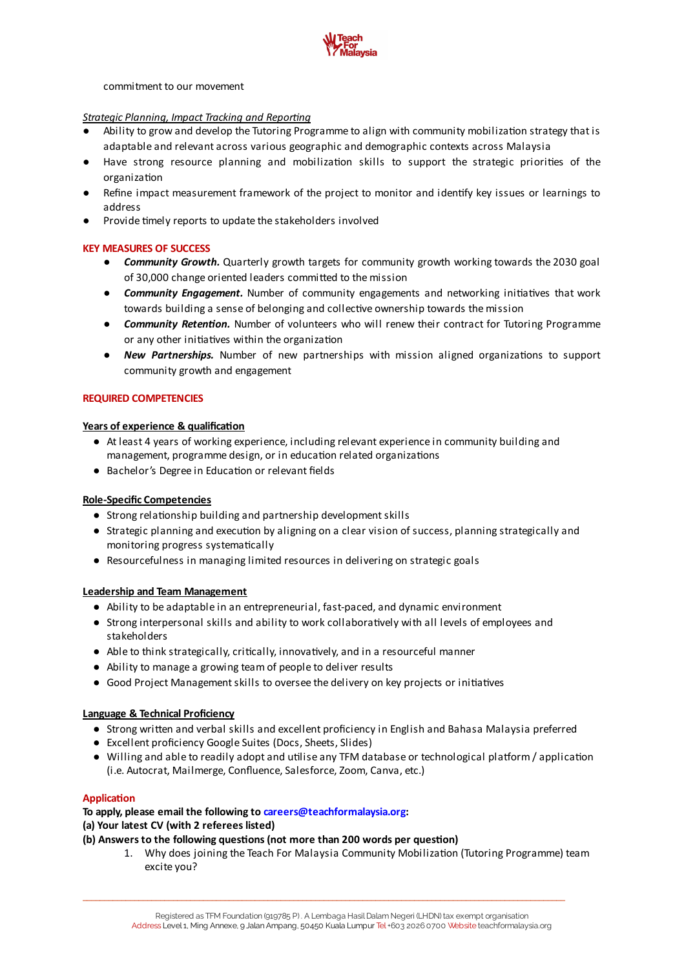

#### commitment to our movement

# *Strategic Planning, Impact Tracking and Reporting*

- Ability to grow and develop the Tutoring Programme to align with community mobilization strategy that is adaptable and relevant across various geographic and demographic contexts across Malaysia
- Have strong resource planning and mobilization skills to support the strategic priorities of the organization
- Refine impact measurement framework of the project to monitor and identify key issues or learnings to address
- **•** Provide timely reports to update the stakeholders involved

# **KEY MEASURES OF SUCCESS**

- *● Community Growth.* Quarterly growth targets for community growth working towards the 2030 goal of 30,000 change oriented leaders committed to the mission
- **Community Engagement.** Number of community engagements and networking initiatives that work towards building a sense of belonging and collective ownership towards the mission
- *Community Retention*. Number of volunteers who will renew their contract for Tutoring Programme or any other initiatives within the organization
- **•** *New Partnerships.* Number of new partnerships with mission aligned organizations to support community growth and engagement

#### **REQUIRED COMPETENCIES**

#### **Years** of experience & qualification

- At least 4 years of working experience, including relevant experience in community building and management, programme design, or in education related organizations
- Bachelor's Degree in Education or relevant fields

#### **Role-Specific Competencies**

- Strong relationship building and partnership development skills
- Strategic planning and execution by aligning on a clear vision of success, planning strategically and monitoring progress systematically
- Resourcefulness in managing limited resources in delivering on strategic goals

#### **Leadership and Team Management**

- Ability to be adaptable in an entrepreneurial, fast-paced, and dynamic environment
- Strong interpersonal skills and ability to work collaboratively with all levels of employees and stakeholders
- Able to think strategically, critically, innovatively, and in a resourceful manner
- Ability to manage a growing team of people to deliver results
- Good Project Management skills to oversee the delivery on key projects or initiatives

# **Language & Technical Proficiency**

- Strong written and verbal skills and excellent proficiency in English and Bahasa Malaysia preferred
- Excellent proficiency Google Suites (Docs, Sheets, Slides)
- Willing and able to readily adopt and utilise any TFM database or technological platform / application (i.e. Autocrat, Mailmerge, Confluence, Salesforce, Zoom, Canva, etc.)

#### **Application**

**To apply, please email the following to [careers@teachformalaysia.org:](mailto:careers@teachformalaysia.org) (a) Your latest CV (with 2 referees listed)**

- $($ b $)$  Answers to the following questions (not more than 200 words per question)
	- 1. Why does joining the Teach For Malaysia Community Mobilization (Tutoring Programme) team excite you?